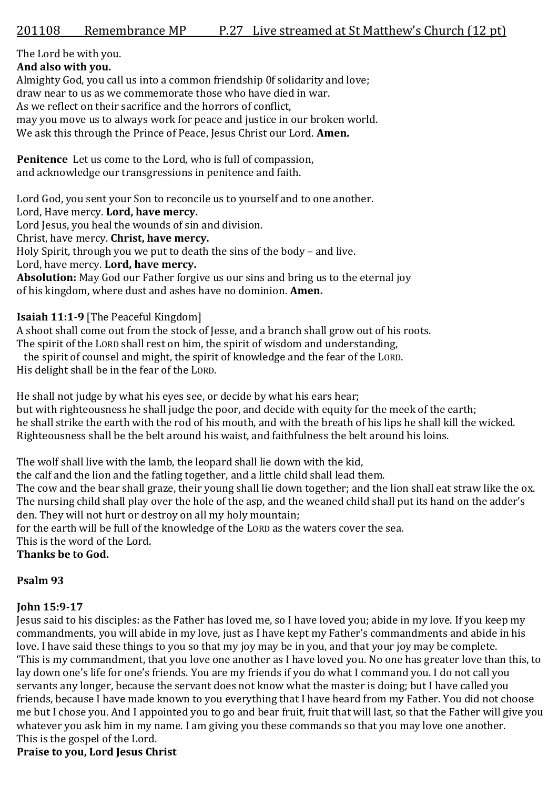The Lord be with you.

**And also with you.** Almighty God, you call us into a common friendship 0f solidarity and love; draw near to us as we commemorate those who have died in war. As we reflect on their sacrifice and the horrors of conflict, may you move us to always work for peace and justice in our broken world. We ask this through the Prince of Peace, Jesus Christ our Lord. **Amen.**

**Penitence** Let us come to the Lord, who is full of compassion, and acknowledge our transgressions in penitence and faith.

Lord God, you sent your Son to reconcile us to yourself and to one another.

Lord, Have mercy. **Lord, have mercy.**

Lord Jesus, you heal the wounds of sin and division.

Christ, have mercy. **Christ, have mercy.**

Holy Spirit, through you we put to death the sins of the body – and live.

Lord, have mercy. **Lord, have mercy.**

**Absolution:** May God our Father forgive us our sins and bring us to the eternal joy of his kingdom, where dust and ashes have no dominion. **Amen.**

**Isaiah 11:1-9** [The Peaceful Kingdom]

A shoot shall come out from the stock of Jesse, and a branch shall grow out of his roots.

The spirit of the LORD shall rest on him, the spirit of wisdom and understanding,

the spirit of counsel and might, the spirit of knowledge and the fear of the LORD.

His delight shall be in the fear of the LORD.

He shall not judge by what his eyes see, or decide by what his ears hear; but with righteousness he shall judge the poor, and decide with equity for the meek of the earth; he shall strike the earth with the rod of his mouth, and with the breath of his lips he shall kill the wicked. Righteousness shall be the belt around his waist, and faithfulness the belt around his loins.

The wolf shall live with the lamb, the leopard shall lie down with the kid,

the calf and the lion and the fatling together, and a little child shall lead them.

The cow and the bear shall graze, their young shall lie down together; and the lion shall eat straw like the ox. The nursing child shall play over the hole of the asp, and the weaned child shall put its hand on the adder's den. They will not hurt or destroy on all my holy mountain;

for the earth will be full of the knowledge of the LORD as the waters cover the sea.

This is the word of the Lord.

**Thanks be to God.**

# **Psalm 93**

# **John 15:9-17**

Jesus said to his disciples: as the Father has loved me, so I have loved you; abide in my love. If you keep my commandments, you will abide in my love, just as I have kept my Father's commandments and abide in his love. I have said these things to you so that my joy may be in you, and that your joy may be complete. 'This is my commandment, that you love one another as I have loved you. No one has greater love than this, to lay down one's life for one's friends. You are my friends if you do what I command you. I do not call you servants any longer, because the servant does not know what the master is doing; but I have called you friends, because I have made known to you everything that I have heard from my Father. You did not choose me but I chose you. And I appointed you to go and bear fruit, fruit that will last, so that the Father will give you whatever you ask him in my name. I am giving you these commands so that you may love one another. This is the gospel of the Lord.

# **Praise to you, Lord Jesus Christ**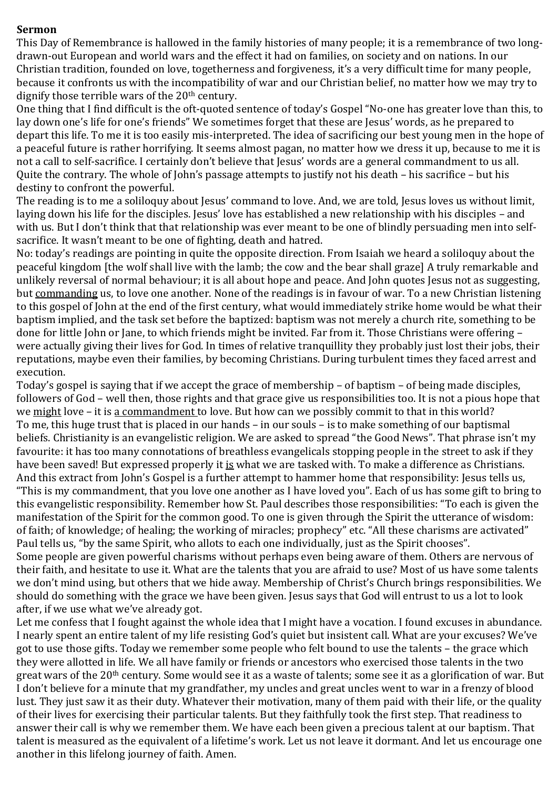#### **Sermon**

This Day of Remembrance is hallowed in the family histories of many people; it is a remembrance of two longdrawn-out European and world wars and the effect it had on families, on society and on nations. In our Christian tradition, founded on love, togetherness and forgiveness, it's a very difficult time for many people, because it confronts us with the incompatibility of war and our Christian belief, no matter how we may try to dignify those terrible wars of the 20<sup>th</sup> century.

One thing that I find difficult is the oft-quoted sentence of today's Gospel "No-one has greater love than this, to lay down one's life for one's friends" We sometimes forget that these are Jesus' words, as he prepared to depart this life. To me it is too easily mis-interpreted. The idea of sacrificing our best young men in the hope of a peaceful future is rather horrifying. It seems almost pagan, no matter how we dress it up, because to me it is not a call to self-sacrifice. I certainly don't believe that Jesus' words are a general commandment to us all. Quite the contrary. The whole of John's passage attempts to justify not his death – his sacrifice – but his destiny to confront the powerful.

The reading is to me a soliloquy about Jesus' command to love. And, we are told, Jesus loves us without limit, laying down his life for the disciples. Jesus' love has established a new relationship with his disciples – and with us. But I don't think that that relationship was ever meant to be one of blindly persuading men into selfsacrifice. It wasn't meant to be one of fighting, death and hatred.

No: today's readings are pointing in quite the opposite direction. From Isaiah we heard a soliloquy about the peaceful kingdom [the wolf shall live with the lamb; the cow and the bear shall graze] A truly remarkable and unlikely reversal of normal behaviour; it is all about hope and peace. And John quotes Jesus not as suggesting, but commanding us, to love one another. None of the readings is in favour of war. To a new Christian listening to this gospel of John at the end of the first century, what would immediately strike home would be what their baptism implied, and the task set before the baptized: baptism was not merely a church rite, something to be done for little John or Jane, to which friends might be invited. Far from it. Those Christians were offering – were actually giving their lives for God. In times of relative tranquillity they probably just lost their jobs, their reputations, maybe even their families, by becoming Christians. During turbulent times they faced arrest and execution.

Today's gospel is saying that if we accept the grace of membership – of baptism – of being made disciples, followers of God – well then, those rights and that grace give us responsibilities too. It is not a pious hope that we might love – it is a commandment to love. But how can we possibly commit to that in this world? To me, this huge trust that is placed in our hands – in our souls – is to make something of our baptismal beliefs. Christianity is an evangelistic religion. We are asked to spread "the Good News". That phrase isn't my favourite: it has too many connotations of breathless evangelicals stopping people in the street to ask if they have been saved! But expressed properly it is what we are tasked with. To make a difference as Christians. And this extract from John's Gospel is a further attempt to hammer home that responsibility: Jesus tells us, "This is my commandment, that you love one another as I have loved you". Each of us has some gift to bring to this evangelistic responsibility. Remember how St. Paul describes those responsibilities: "To each is given the manifestation of the Spirit for the common good. To one is given through the Spirit the utterance of wisdom: of faith; of knowledge; of healing; the working of miracles; prophecy" etc. "All these charisms are activated" Paul tells us, "by the same Spirit, who allots to each one individually, just as the Spirit chooses". Some people are given powerful charisms without perhaps even being aware of them. Others are nervous of their faith, and hesitate to use it. What are the talents that you are afraid to use? Most of us have some talents we don't mind using, but others that we hide away. Membership of Christ's Church brings responsibilities. We should do something with the grace we have been given. Jesus says that God will entrust to us a lot to look after, if we use what we've already got.

Let me confess that I fought against the whole idea that I might have a vocation. I found excuses in abundance. I nearly spent an entire talent of my life resisting God's quiet but insistent call. What are your excuses? We've got to use those gifts. Today we remember some people who felt bound to use the talents – the grace which they were allotted in life. We all have family or friends or ancestors who exercised those talents in the two great wars of the 20<sup>th</sup> century. Some would see it as a waste of talents; some see it as a glorification of war. But I don't believe for a minute that my grandfather, my uncles and great uncles went to war in a frenzy of blood lust. They just saw it as their duty. Whatever their motivation, many of them paid with their life, or the quality of their lives for exercising their particular talents. But they faithfully took the first step. That readiness to answer their call is why we remember them. We have each been given a precious talent at our baptism. That talent is measured as the equivalent of a lifetime's work. Let us not leave it dormant. And let us encourage one another in this lifelong journey of faith. Amen.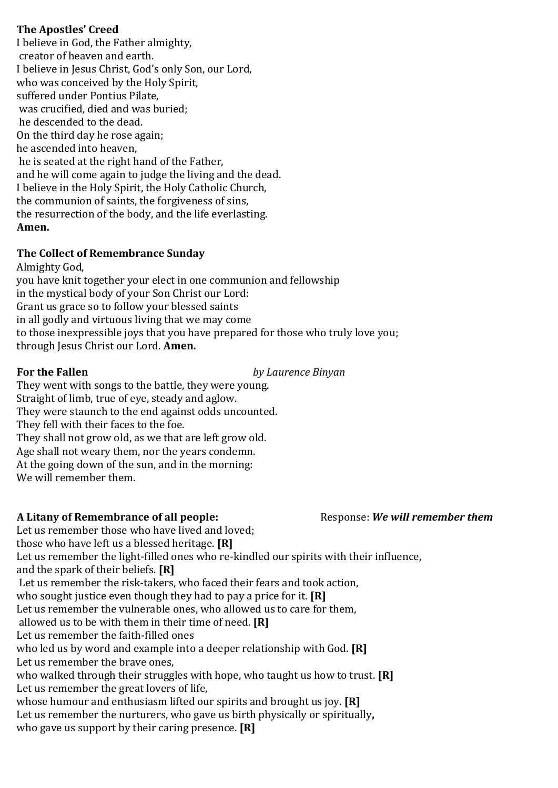#### **The Apostles' Creed**

I believe in God, the Father almighty, creator of heaven and earth. I believe in Jesus Christ, God's only Son, our Lord, who was conceived by the Holy Spirit, suffered under Pontius Pilate, was crucified, died and was buried; he descended to the dead. On the third day he rose again; he ascended into heaven, he is seated at the right hand of the Father, and he will come again to judge the living and the dead. I believe in the Holy Spirit, the Holy Catholic Church, the communion of saints, the forgiveness of sins, the resurrection of the body, and the life everlasting. **Amen.** 

#### **The Collect of Remembrance Sunday**

Almighty God,

you have knit together your elect in one communion and fellowship in the mystical body of your Son Christ our Lord: Grant us grace so to follow your blessed saints in all godly and virtuous living that we may come to those inexpressible joys that you have prepared for those who truly love you; through Jesus Christ our Lord. **Amen.**

**For the Fallen** *by Laurence Binyan*

They went with songs to the battle, they were young. Straight of limb, true of eye, steady and aglow. They were staunch to the end against odds uncounted. They fell with their faces to the foe. They shall not grow old, as we that are left grow old. Age shall not weary them, nor the years condemn. At the going down of the sun, and in the morning: We will remember them.

# **A Litany of Remembrance of all people:** Response: *We will remember them*

Let us remember those who have lived and loved; those who have left us a blessed heritage. **[R]** Let us remember the light-filled ones who re-kindled our spirits with their influence, and the spark of their beliefs. **[R]** Let us remember the risk-takers, who faced their fears and took action, who sought justice even though they had to pay a price for it. **[R]** Let us remember the vulnerable ones, who allowed us to care for them, allowed us to be with them in their time of need. **[R]** Let us remember the faith-filled ones who led us by word and example into a deeper relationship with God. **[R]** Let us remember the brave ones, who walked through their struggles with hope, who taught us how to trust. **[R]** Let us remember the great lovers of life, whose humour and enthusiasm lifted our spirits and brought us joy. **[R]** Let us remember the nurturers, who gave us birth physically or spiritually**,**  who gave us support by their caring presence. **[R]**